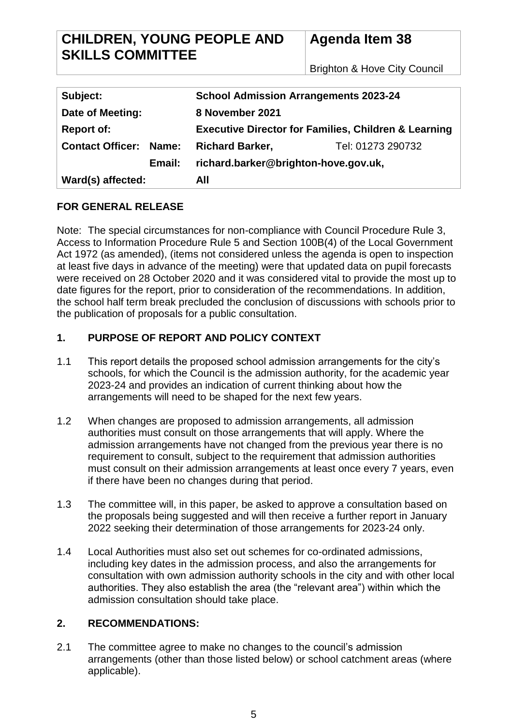# **CHILDREN, YOUNG PEOPLE AND SKILLS COMMITTEE**

**Agenda Item 38**

Brighton & Hove City Council

| Subject:                      | <b>School Admission Arrangements 2023-24</b>                    |                   |  |
|-------------------------------|-----------------------------------------------------------------|-------------------|--|
| Date of Meeting:              | 8 November 2021                                                 |                   |  |
| <b>Report of:</b>             | <b>Executive Director for Families, Children &amp; Learning</b> |                   |  |
| <b>Contact Officer: Name:</b> | <b>Richard Barker,</b>                                          | Tel: 01273 290732 |  |
| Email:                        | richard.barker@brighton-hove.gov.uk,                            |                   |  |
| Ward(s) affected:             | All                                                             |                   |  |

# **FOR GENERAL RELEASE**

Note: The special circumstances for non-compliance with Council Procedure Rule 3, Access to Information Procedure Rule 5 and Section 100B(4) of the Local Government Act 1972 (as amended), (items not considered unless the agenda is open to inspection at least five days in advance of the meeting) were that updated data on pupil forecasts were received on 28 October 2020 and it was considered vital to provide the most up to date figures for the report, prior to consideration of the recommendations. In addition, the school half term break precluded the conclusion of discussions with schools prior to the publication of proposals for a public consultation.

# **1. PURPOSE OF REPORT AND POLICY CONTEXT**

- 1.1 This report details the proposed school admission arrangements for the city's schools, for which the Council is the admission authority, for the academic year 2023-24 and provides an indication of current thinking about how the arrangements will need to be shaped for the next few years.
- 1.2 When changes are proposed to admission arrangements, all admission authorities must consult on those arrangements that will apply. Where the admission arrangements have not changed from the previous year there is no requirement to consult, subject to the requirement that admission authorities must consult on their admission arrangements at least once every 7 years, even if there have been no changes during that period.
- 1.3 The committee will, in this paper, be asked to approve a consultation based on the proposals being suggested and will then receive a further report in January 2022 seeking their determination of those arrangements for 2023-24 only.
- 1.4 Local Authorities must also set out schemes for co-ordinated admissions, including key dates in the admission process, and also the arrangements for consultation with own admission authority schools in the city and with other local authorities. They also establish the area (the "relevant area") within which the admission consultation should take place.

## **2. RECOMMENDATIONS:**

2.1 The committee agree to make no changes to the council's admission arrangements (other than those listed below) or school catchment areas (where applicable).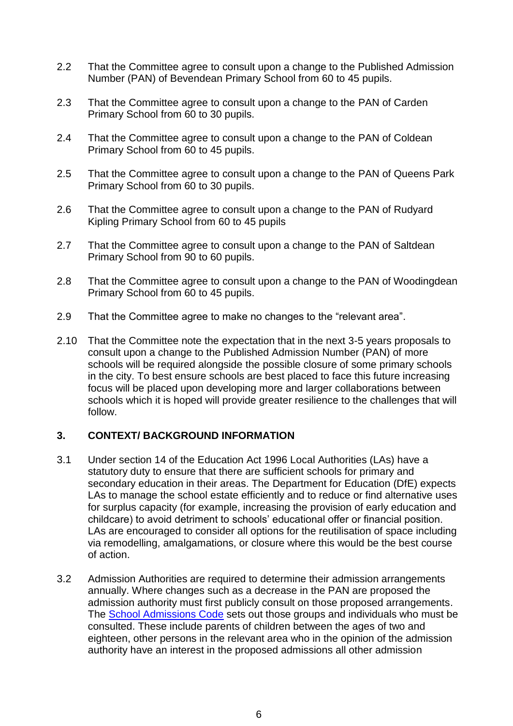- 2.2 That the Committee agree to consult upon a change to the Published Admission Number (PAN) of Bevendean Primary School from 60 to 45 pupils.
- 2.3 That the Committee agree to consult upon a change to the PAN of Carden Primary School from 60 to 30 pupils.
- 2.4 That the Committee agree to consult upon a change to the PAN of Coldean Primary School from 60 to 45 pupils.
- 2.5 That the Committee agree to consult upon a change to the PAN of Queens Park Primary School from 60 to 30 pupils.
- 2.6 That the Committee agree to consult upon a change to the PAN of Rudyard Kipling Primary School from 60 to 45 pupils
- 2.7 That the Committee agree to consult upon a change to the PAN of Saltdean Primary School from 90 to 60 pupils.
- 2.8 That the Committee agree to consult upon a change to the PAN of Woodingdean Primary School from 60 to 45 pupils.
- 2.9 That the Committee agree to make no changes to the "relevant area".
- 2.10 That the Committee note the expectation that in the next 3-5 years proposals to consult upon a change to the Published Admission Number (PAN) of more schools will be required alongside the possible closure of some primary schools in the city. To best ensure schools are best placed to face this future increasing focus will be placed upon developing more and larger collaborations between schools which it is hoped will provide greater resilience to the challenges that will follow.

#### **3. CONTEXT/ BACKGROUND INFORMATION**

- 3.1 Under section 14 of the Education Act 1996 Local Authorities (LAs) have a statutory duty to ensure that there are sufficient schools for primary and secondary education in their areas. The Department for Education (DfE) expects LAs to manage the school estate efficiently and to reduce or find alternative uses for surplus capacity (for example, increasing the provision of early education and childcare) to avoid detriment to schools' educational offer or financial position. LAs are encouraged to consider all options for the reutilisation of space including via remodelling, amalgamations, or closure where this would be the best course of action.
- 3.2 Admission Authorities are required to determine their admission arrangements annually. Where changes such as a decrease in the PAN are proposed the admission authority must first publicly consult on those proposed arrangements. The [School Admissions Code](https://assets.publishing.service.gov.uk/government/uploads/system/uploads/attachment_data/file/389388/School_Admissions_Code_2014_-_19_Dec.pdf) sets out those groups and individuals who must be consulted. These include parents of children between the ages of two and eighteen, other persons in the relevant area who in the opinion of the admission authority have an interest in the proposed admissions all other admission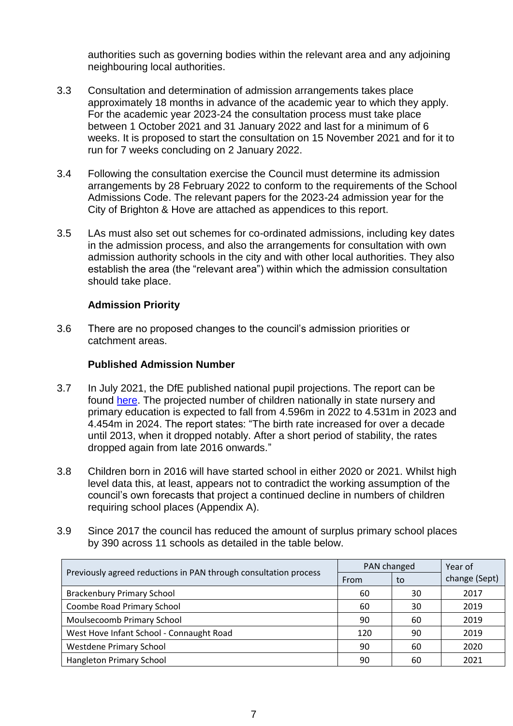authorities such as governing bodies within the relevant area and any adjoining neighbouring local authorities.

- 3.3 Consultation and determination of admission arrangements takes place approximately 18 months in advance of the academic year to which they apply. For the academic year 2023-24 the consultation process must take place between 1 October 2021 and 31 January 2022 and last for a minimum of 6 weeks. It is proposed to start the consultation on 15 November 2021 and for it to run for 7 weeks concluding on 2 January 2022.
- 3.4 Following the consultation exercise the Council must determine its admission arrangements by 28 February 2022 to conform to the requirements of the School Admissions Code. The relevant papers for the 2023-24 admission year for the City of Brighton & Hove are attached as appendices to this report.
- 3.5 LAs must also set out schemes for co-ordinated admissions, including key dates in the admission process, and also the arrangements for consultation with own admission authority schools in the city and with other local authorities. They also establish the area (the "relevant area") within which the admission consultation should take place.

## **Admission Priority**

3.6 There are no proposed changes to the council's admission priorities or catchment areas.

#### **Published Admission Number**

- 3.7 In July 2021, the DfE published national pupil projections. The report can be found [here.](https://explore-education-statistics.service.gov.uk/find-statistics/national-pupil-projections) The projected number of children nationally in state nursery and primary education is expected to fall from 4.596m in 2022 to 4.531m in 2023 and 4.454m in 2024. The report states: "The birth rate increased for over a decade until 2013, when it dropped notably. After a short period of stability, the rates dropped again from late 2016 onwards."
- 3.8 Children born in 2016 will have started school in either 2020 or 2021. Whilst high level data this, at least, appears not to contradict the working assumption of the council's own forecasts that project a continued decline in numbers of children requiring school places (Appendix A).
- 3.9 Since 2017 the council has reduced the amount of surplus primary school places by 390 across 11 schools as detailed in the table below.

| Previously agreed reductions in PAN through consultation process | PAN changed |    | Year of       |
|------------------------------------------------------------------|-------------|----|---------------|
|                                                                  | From        | to | change (Sept) |
| <b>Brackenbury Primary School</b>                                | 60          | 30 | 2017          |
| Coombe Road Primary School                                       | 60          | 30 | 2019          |
| Moulsecoomb Primary School                                       | 90          | 60 | 2019          |
| West Hove Infant School - Connaught Road                         | 120         | 90 | 2019          |
| <b>Westdene Primary School</b>                                   | 90          | 60 | 2020          |
| <b>Hangleton Primary School</b>                                  | 90          | 60 | 2021          |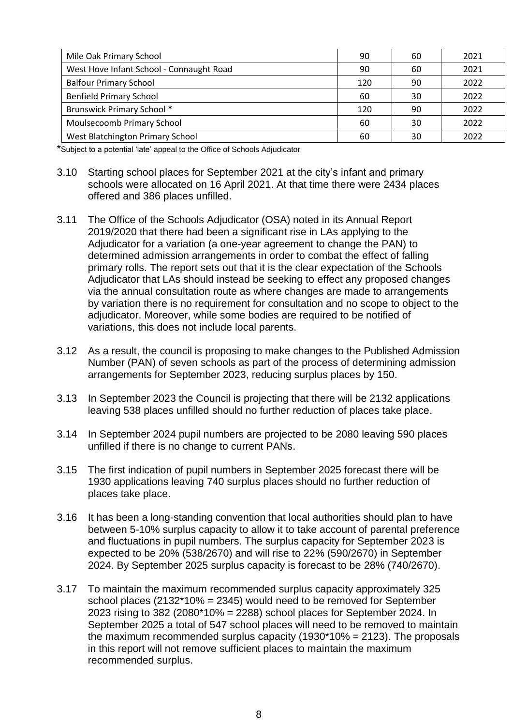| Mile Oak Primary School                  | 90  | 60 | 2021 |
|------------------------------------------|-----|----|------|
| West Hove Infant School - Connaught Road | 90  | 60 | 2021 |
| <b>Balfour Primary School</b>            | 120 | 90 | 2022 |
| <b>Benfield Primary School</b>           | 60  | 30 | 2022 |
| <b>Brunswick Primary School *</b>        | 120 | 90 | 2022 |
| Moulsecoomb Primary School               | 60  | 30 | 2022 |
| West Blatchington Primary School         | 60  | 30 | 2022 |

\*Subject to a potential 'late' appeal to the Office of Schools Adjudicator

- 3.10 Starting school places for September 2021 at the city's infant and primary schools were allocated on 16 April 2021. At that time there were 2434 places offered and 386 places unfilled.
- 3.11 The Office of the Schools Adjudicator (OSA) noted in its Annual Report 2019/2020 that there had been a significant rise in LAs applying to the Adjudicator for a variation (a one-year agreement to change the PAN) to determined admission arrangements in order to combat the effect of falling primary rolls. The report sets out that it is the clear expectation of the Schools Adjudicator that LAs should instead be seeking to effect any proposed changes via the annual consultation route as where changes are made to arrangements by variation there is no requirement for consultation and no scope to object to the adjudicator. Moreover, while some bodies are required to be notified of variations, this does not include local parents.
- 3.12 As a result, the council is proposing to make changes to the Published Admission Number (PAN) of seven schools as part of the process of determining admission arrangements for September 2023, reducing surplus places by 150.
- 3.13 In September 2023 the Council is projecting that there will be 2132 applications leaving 538 places unfilled should no further reduction of places take place.
- 3.14 In September 2024 pupil numbers are projected to be 2080 leaving 590 places unfilled if there is no change to current PANs.
- 3.15 The first indication of pupil numbers in September 2025 forecast there will be 1930 applications leaving 740 surplus places should no further reduction of places take place.
- 3.16 It has been a long-standing convention that local authorities should plan to have between 5-10% surplus capacity to allow it to take account of parental preference and fluctuations in pupil numbers. The surplus capacity for September 2023 is expected to be 20% (538/2670) and will rise to 22% (590/2670) in September 2024. By September 2025 surplus capacity is forecast to be 28% (740/2670).
- 3.17 To maintain the maximum recommended surplus capacity approximately 325 school places  $(2132*10\% = 2345)$  would need to be removed for September 2023 rising to 382 (2080\*10% = 2288) school places for September 2024. In September 2025 a total of 547 school places will need to be removed to maintain the maximum recommended surplus capacity (1930\*10% = 2123). The proposals in this report will not remove sufficient places to maintain the maximum recommended surplus.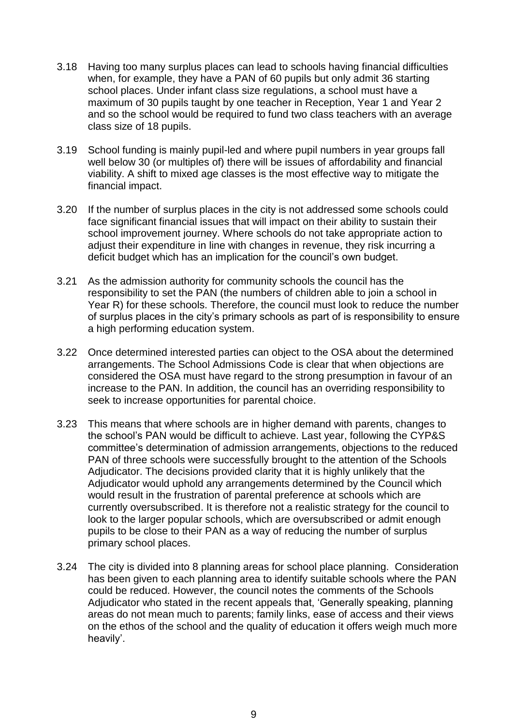- 3.18 Having too many surplus places can lead to schools having financial difficulties when, for example, they have a PAN of 60 pupils but only admit 36 starting school places. Under infant class size regulations, a school must have a maximum of 30 pupils taught by one teacher in Reception, Year 1 and Year 2 and so the school would be required to fund two class teachers with an average class size of 18 pupils.
- 3.19 School funding is mainly pupil-led and where pupil numbers in year groups fall well below 30 (or multiples of) there will be issues of affordability and financial viability. A shift to mixed age classes is the most effective way to mitigate the financial impact.
- 3.20 If the number of surplus places in the city is not addressed some schools could face significant financial issues that will impact on their ability to sustain their school improvement journey. Where schools do not take appropriate action to adjust their expenditure in line with changes in revenue, they risk incurring a deficit budget which has an implication for the council's own budget.
- 3.21 As the admission authority for community schools the council has the responsibility to set the PAN (the numbers of children able to join a school in Year R) for these schools. Therefore, the council must look to reduce the number of surplus places in the city's primary schools as part of is responsibility to ensure a high performing education system.
- 3.22 Once determined interested parties can object to the OSA about the determined arrangements. The School Admissions Code is clear that when objections are considered the OSA must have regard to the strong presumption in favour of an increase to the PAN. In addition, the council has an overriding responsibility to seek to increase opportunities for parental choice.
- 3.23 This means that where schools are in higher demand with parents, changes to the school's PAN would be difficult to achieve. Last year, following the CYP&S committee's determination of admission arrangements, objections to the reduced PAN of three schools were successfully brought to the attention of the Schools Adjudicator. The decisions provided clarity that it is highly unlikely that the Adjudicator would uphold any arrangements determined by the Council which would result in the frustration of parental preference at schools which are currently oversubscribed. It is therefore not a realistic strategy for the council to look to the larger popular schools, which are oversubscribed or admit enough pupils to be close to their PAN as a way of reducing the number of surplus primary school places.
- 3.24 The city is divided into 8 planning areas for school place planning. Consideration has been given to each planning area to identify suitable schools where the PAN could be reduced. However, the council notes the comments of the Schools Adjudicator who stated in the recent appeals that, 'Generally speaking, planning areas do not mean much to parents; family links, ease of access and their views on the ethos of the school and the quality of education it offers weigh much more heavily'.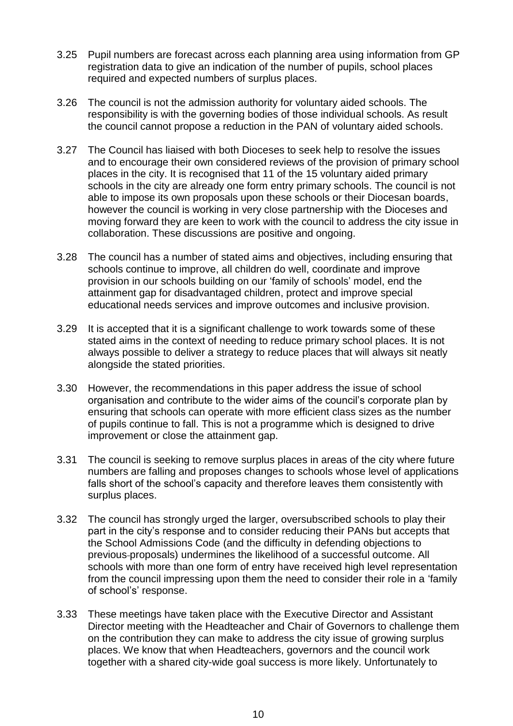- 3.25 Pupil numbers are forecast across each planning area using information from GP registration data to give an indication of the number of pupils, school places required and expected numbers of surplus places.
- 3.26 The council is not the admission authority for voluntary aided schools. The responsibility is with the governing bodies of those individual schools. As result the council cannot propose a reduction in the PAN of voluntary aided schools.
- 3.27 The Council has liaised with both Dioceses to seek help to resolve the issues and to encourage their own considered reviews of the provision of primary school places in the city. It is recognised that 11 of the 15 voluntary aided primary schools in the city are already one form entry primary schools. The council is not able to impose its own proposals upon these schools or their Diocesan boards, however the council is working in very close partnership with the Dioceses and moving forward they are keen to work with the council to address the city issue in collaboration. These discussions are positive and ongoing.
- 3.28 The council has a number of stated aims and objectives, including ensuring that schools continue to improve, all children do well, coordinate and improve provision in our schools building on our 'family of schools' model, end the attainment gap for disadvantaged children, protect and improve special educational needs services and improve outcomes and inclusive provision.
- 3.29 It is accepted that it is a significant challenge to work towards some of these stated aims in the context of needing to reduce primary school places. It is not always possible to deliver a strategy to reduce places that will always sit neatly alongside the stated priorities.
- 3.30 However, the recommendations in this paper address the issue of school organisation and contribute to the wider aims of the council's corporate plan by ensuring that schools can operate with more efficient class sizes as the number of pupils continue to fall. This is not a programme which is designed to drive improvement or close the attainment gap.
- 3.31 The council is seeking to remove surplus places in areas of the city where future numbers are falling and proposes changes to schools whose level of applications falls short of the school's capacity and therefore leaves them consistently with surplus places.
- 3.32 The council has strongly urged the larger, oversubscribed schools to play their part in the city's response and to consider reducing their PANs but accepts that the School Admissions Code (and the difficulty in defending objections to previous proposals) undermines the likelihood of a successful outcome. All schools with more than one form of entry have received high level representation from the council impressing upon them the need to consider their role in a 'family of school's' response.
- 3.33 These meetings have taken place with the Executive Director and Assistant Director meeting with the Headteacher and Chair of Governors to challenge them on the contribution they can make to address the city issue of growing surplus places. We know that when Headteachers, governors and the council work together with a shared city-wide goal success is more likely. Unfortunately to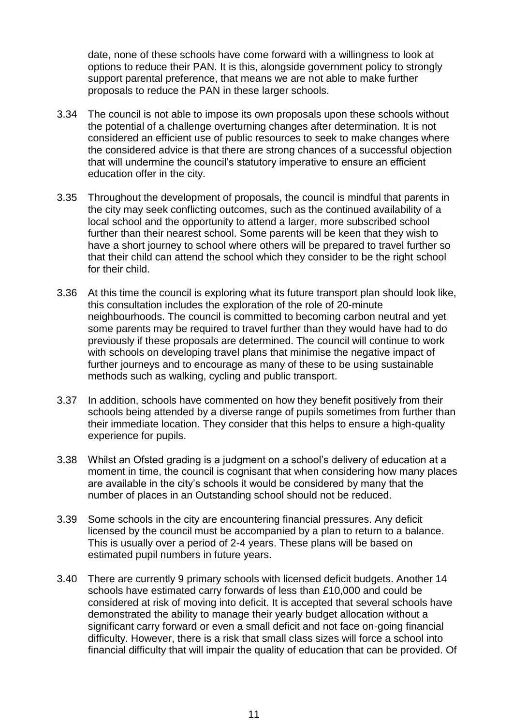date, none of these schools have come forward with a willingness to look at options to reduce their PAN. It is this, alongside government policy to strongly support parental preference, that means we are not able to make further proposals to reduce the PAN in these larger schools.

- 3.34 The council is not able to impose its own proposals upon these schools without the potential of a challenge overturning changes after determination. It is not considered an efficient use of public resources to seek to make changes where the considered advice is that there are strong chances of a successful objection that will undermine the council's statutory imperative to ensure an efficient education offer in the city.
- 3.35 Throughout the development of proposals, the council is mindful that parents in the city may seek conflicting outcomes, such as the continued availability of a local school and the opportunity to attend a larger, more subscribed school further than their nearest school. Some parents will be keen that they wish to have a short journey to school where others will be prepared to travel further so that their child can attend the school which they consider to be the right school for their child.
- 3.36 At this time the council is exploring what its future transport plan should look like, this consultation includes the exploration of the role of 20-minute neighbourhoods. The council is committed to becoming carbon neutral and yet some parents may be required to travel further than they would have had to do previously if these proposals are determined. The council will continue to work with schools on developing travel plans that minimise the negative impact of further journeys and to encourage as many of these to be using sustainable methods such as walking, cycling and public transport.
- 3.37 In addition, schools have commented on how they benefit positively from their schools being attended by a diverse range of pupils sometimes from further than their immediate location. They consider that this helps to ensure a high-quality experience for pupils.
- 3.38 Whilst an Ofsted grading is a judgment on a school's delivery of education at a moment in time, the council is cognisant that when considering how many places are available in the city's schools it would be considered by many that the number of places in an Outstanding school should not be reduced.
- 3.39 Some schools in the city are encountering financial pressures. Any deficit licensed by the council must be accompanied by a plan to return to a balance. This is usually over a period of 2-4 years. These plans will be based on estimated pupil numbers in future years.
- 3.40 There are currently 9 primary schools with licensed deficit budgets. Another 14 schools have estimated carry forwards of less than £10,000 and could be considered at risk of moving into deficit. It is accepted that several schools have demonstrated the ability to manage their yearly budget allocation without a significant carry forward or even a small deficit and not face on-going financial difficulty. However, there is a risk that small class sizes will force a school into financial difficulty that will impair the quality of education that can be provided. Of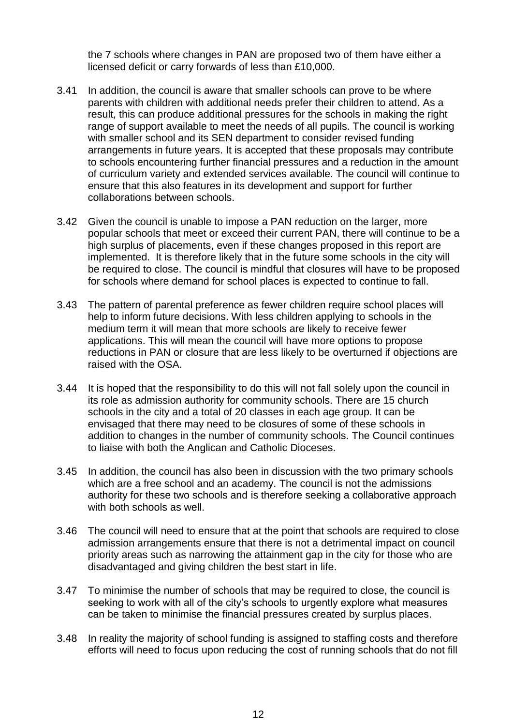the 7 schools where changes in PAN are proposed two of them have either a licensed deficit or carry forwards of less than £10,000.

- 3.41 In addition, the council is aware that smaller schools can prove to be where parents with children with additional needs prefer their children to attend. As a result, this can produce additional pressures for the schools in making the right range of support available to meet the needs of all pupils. The council is working with smaller school and its SEN department to consider revised funding arrangements in future years. It is accepted that these proposals may contribute to schools encountering further financial pressures and a reduction in the amount of curriculum variety and extended services available. The council will continue to ensure that this also features in its development and support for further collaborations between schools.
- 3.42 Given the council is unable to impose a PAN reduction on the larger, more popular schools that meet or exceed their current PAN, there will continue to be a high surplus of placements, even if these changes proposed in this report are implemented. It is therefore likely that in the future some schools in the city will be required to close. The council is mindful that closures will have to be proposed for schools where demand for school places is expected to continue to fall.
- 3.43 The pattern of parental preference as fewer children require school places will help to inform future decisions. With less children applying to schools in the medium term it will mean that more schools are likely to receive fewer applications. This will mean the council will have more options to propose reductions in PAN or closure that are less likely to be overturned if objections are raised with the OSA.
- 3.44 It is hoped that the responsibility to do this will not fall solely upon the council in its role as admission authority for community schools. There are 15 church schools in the city and a total of 20 classes in each age group. It can be envisaged that there may need to be closures of some of these schools in addition to changes in the number of community schools. The Council continues to liaise with both the Anglican and Catholic Dioceses.
- 3.45 In addition, the council has also been in discussion with the two primary schools which are a free school and an academy. The council is not the admissions authority for these two schools and is therefore seeking a collaborative approach with both schools as well.
- 3.46 The council will need to ensure that at the point that schools are required to close admission arrangements ensure that there is not a detrimental impact on council priority areas such as narrowing the attainment gap in the city for those who are disadvantaged and giving children the best start in life.
- 3.47 To minimise the number of schools that may be required to close, the council is seeking to work with all of the city's schools to urgently explore what measures can be taken to minimise the financial pressures created by surplus places.
- 3.48 In reality the majority of school funding is assigned to staffing costs and therefore efforts will need to focus upon reducing the cost of running schools that do not fill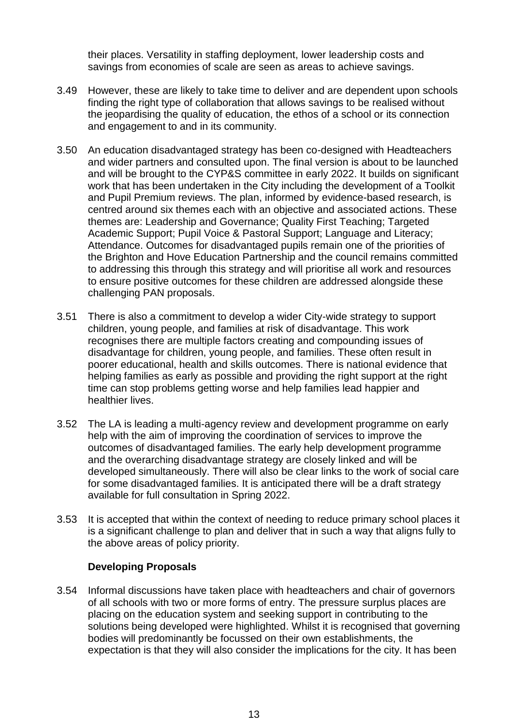their places. Versatility in staffing deployment, lower leadership costs and savings from economies of scale are seen as areas to achieve savings.

- 3.49 However, these are likely to take time to deliver and are dependent upon schools finding the right type of collaboration that allows savings to be realised without the jeopardising the quality of education, the ethos of a school or its connection and engagement to and in its community.
- 3.50 An education disadvantaged strategy has been co-designed with Headteachers and wider partners and consulted upon. The final version is about to be launched and will be brought to the CYP&S committee in early 2022. It builds on significant work that has been undertaken in the City including the development of a Toolkit and Pupil Premium reviews. The plan, informed by evidence-based research, is centred around six themes each with an objective and associated actions. These themes are: Leadership and Governance; Quality First Teaching; Targeted Academic Support; Pupil Voice & Pastoral Support; Language and Literacy; Attendance. Outcomes for disadvantaged pupils remain one of the priorities of the Brighton and Hove Education Partnership and the council remains committed to addressing this through this strategy and will prioritise all work and resources to ensure positive outcomes for these children are addressed alongside these challenging PAN proposals.
- 3.51 There is also a commitment to develop a wider City-wide strategy to support children, young people, and families at risk of disadvantage. This work recognises there are multiple factors creating and compounding issues of disadvantage for children, young people, and families. These often result in poorer educational, health and skills outcomes. There is national evidence that helping families as early as possible and providing the right support at the right time can stop problems getting worse and help families lead happier and healthier lives.
- 3.52 The LA is leading a multi-agency review and development programme on early help with the aim of improving the coordination of services to improve the outcomes of disadvantaged families. The early help development programme and the overarching disadvantage strategy are closely linked and will be developed simultaneously. There will also be clear links to the work of social care for some disadvantaged families. It is anticipated there will be a draft strategy available for full consultation in Spring 2022.
- 3.53 It is accepted that within the context of needing to reduce primary school places it is a significant challenge to plan and deliver that in such a way that aligns fully to the above areas of policy priority.

## **Developing Proposals**

3.54 Informal discussions have taken place with headteachers and chair of governors of all schools with two or more forms of entry. The pressure surplus places are placing on the education system and seeking support in contributing to the solutions being developed were highlighted. Whilst it is recognised that governing bodies will predominantly be focussed on their own establishments, the expectation is that they will also consider the implications for the city. It has been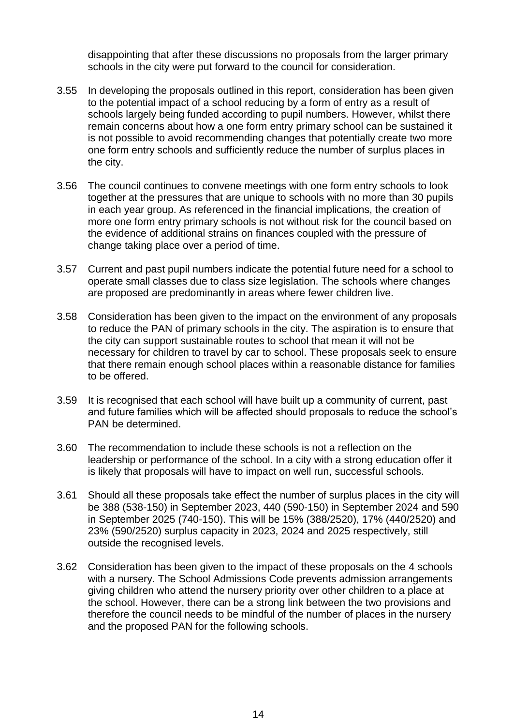disappointing that after these discussions no proposals from the larger primary schools in the city were put forward to the council for consideration.

- 3.55 In developing the proposals outlined in this report, consideration has been given to the potential impact of a school reducing by a form of entry as a result of schools largely being funded according to pupil numbers. However, whilst there remain concerns about how a one form entry primary school can be sustained it is not possible to avoid recommending changes that potentially create two more one form entry schools and sufficiently reduce the number of surplus places in the city.
- 3.56 The council continues to convene meetings with one form entry schools to look together at the pressures that are unique to schools with no more than 30 pupils in each year group. As referenced in the financial implications, the creation of more one form entry primary schools is not without risk for the council based on the evidence of additional strains on finances coupled with the pressure of change taking place over a period of time.
- 3.57 Current and past pupil numbers indicate the potential future need for a school to operate small classes due to class size legislation. The schools where changes are proposed are predominantly in areas where fewer children live.
- 3.58 Consideration has been given to the impact on the environment of any proposals to reduce the PAN of primary schools in the city. The aspiration is to ensure that the city can support sustainable routes to school that mean it will not be necessary for children to travel by car to school. These proposals seek to ensure that there remain enough school places within a reasonable distance for families to be offered.
- 3.59 It is recognised that each school will have built up a community of current, past and future families which will be affected should proposals to reduce the school's PAN be determined.
- 3.60 The recommendation to include these schools is not a reflection on the leadership or performance of the school. In a city with a strong education offer it is likely that proposals will have to impact on well run, successful schools.
- 3.61 Should all these proposals take effect the number of surplus places in the city will be 388 (538-150) in September 2023, 440 (590-150) in September 2024 and 590 in September 2025 (740-150). This will be 15% (388/2520), 17% (440/2520) and 23% (590/2520) surplus capacity in 2023, 2024 and 2025 respectively, still outside the recognised levels.
- 3.62 Consideration has been given to the impact of these proposals on the 4 schools with a nursery. The School Admissions Code prevents admission arrangements giving children who attend the nursery priority over other children to a place at the school. However, there can be a strong link between the two provisions and therefore the council needs to be mindful of the number of places in the nursery and the proposed PAN for the following schools.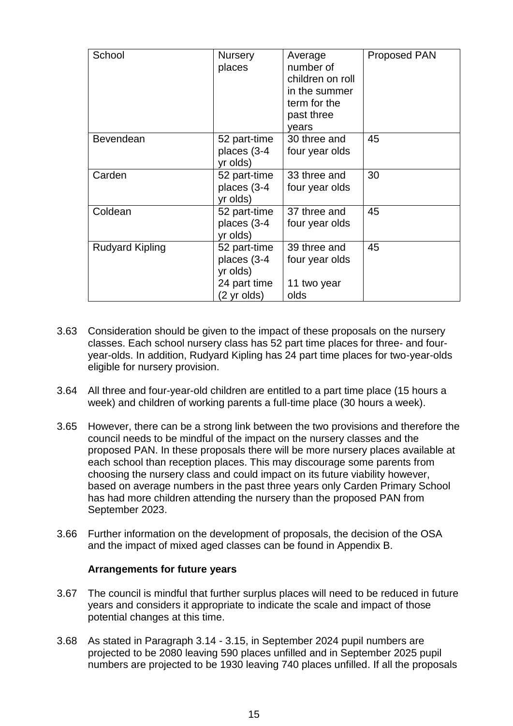| School                 | <b>Nursery</b><br>places                                               | Average<br>number of<br>children on roll<br>in the summer<br>term for the<br>past three<br>years | <b>Proposed PAN</b> |
|------------------------|------------------------------------------------------------------------|--------------------------------------------------------------------------------------------------|---------------------|
| Bevendean              | 52 part-time<br>places (3-4<br>yr olds)                                | 30 three and<br>four year olds                                                                   | 45                  |
| Carden                 | 52 part-time<br>places (3-4<br>yr olds)                                | 33 three and<br>four year olds                                                                   | 30                  |
| Coldean                | 52 part-time<br>places (3-4<br>yr olds)                                | 37 three and<br>four year olds                                                                   | 45                  |
| <b>Rudyard Kipling</b> | 52 part-time<br>places (3-4<br>yr olds)<br>24 part time<br>(2 yr olds) | 39 three and<br>four year olds<br>11 two year<br>olds                                            | 45                  |

- 3.63 Consideration should be given to the impact of these proposals on the nursery classes. Each school nursery class has 52 part time places for three- and fouryear-olds. In addition, Rudyard Kipling has 24 part time places for two-year-olds eligible for nursery provision.
- 3.64 All three and four-year-old children are entitled to a part time place (15 hours a week) and children of working parents a full-time place (30 hours a week).
- 3.65 However, there can be a strong link between the two provisions and therefore the council needs to be mindful of the impact on the nursery classes and the proposed PAN. In these proposals there will be more nursery places available at each school than reception places. This may discourage some parents from choosing the nursery class and could impact on its future viability however, based on average numbers in the past three years only Carden Primary School has had more children attending the nursery than the proposed PAN from September 2023.
- 3.66 Further information on the development of proposals, the decision of the OSA and the impact of mixed aged classes can be found in Appendix B.

#### **Arrangements for future years**

- 3.67 The council is mindful that further surplus places will need to be reduced in future years and considers it appropriate to indicate the scale and impact of those potential changes at this time.
- 3.68 As stated in Paragraph 3.14 3.15, in September 2024 pupil numbers are projected to be 2080 leaving 590 places unfilled and in September 2025 pupil numbers are projected to be 1930 leaving 740 places unfilled. If all the proposals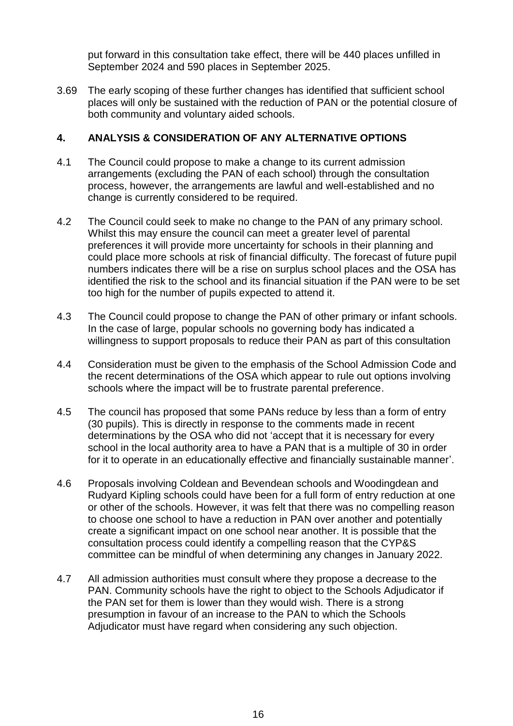put forward in this consultation take effect, there will be 440 places unfilled in September 2024 and 590 places in September 2025.

3.69 The early scoping of these further changes has identified that sufficient school places will only be sustained with the reduction of PAN or the potential closure of both community and voluntary aided schools.

# **4. ANALYSIS & CONSIDERATION OF ANY ALTERNATIVE OPTIONS**

- 4.1 The Council could propose to make a change to its current admission arrangements (excluding the PAN of each school) through the consultation process, however, the arrangements are lawful and well-established and no change is currently considered to be required.
- 4.2 The Council could seek to make no change to the PAN of any primary school. Whilst this may ensure the council can meet a greater level of parental preferences it will provide more uncertainty for schools in their planning and could place more schools at risk of financial difficulty. The forecast of future pupil numbers indicates there will be a rise on surplus school places and the OSA has identified the risk to the school and its financial situation if the PAN were to be set too high for the number of pupils expected to attend it.
- 4.3 The Council could propose to change the PAN of other primary or infant schools. In the case of large, popular schools no governing body has indicated a willingness to support proposals to reduce their PAN as part of this consultation
- 4.4 Consideration must be given to the emphasis of the School Admission Code and the recent determinations of the OSA which appear to rule out options involving schools where the impact will be to frustrate parental preference.
- 4.5 The council has proposed that some PANs reduce by less than a form of entry (30 pupils). This is directly in response to the comments made in recent determinations by the OSA who did not 'accept that it is necessary for every school in the local authority area to have a PAN that is a multiple of 30 in order for it to operate in an educationally effective and financially sustainable manner'.
- 4.6 Proposals involving Coldean and Bevendean schools and Woodingdean and Rudyard Kipling schools could have been for a full form of entry reduction at one or other of the schools. However, it was felt that there was no compelling reason to choose one school to have a reduction in PAN over another and potentially create a significant impact on one school near another. It is possible that the consultation process could identify a compelling reason that the CYP&S committee can be mindful of when determining any changes in January 2022.
- 4.7 All admission authorities must consult where they propose a decrease to the PAN. Community schools have the right to object to the Schools Adjudicator if the PAN set for them is lower than they would wish. There is a strong presumption in favour of an increase to the PAN to which the Schools Adjudicator must have regard when considering any such objection.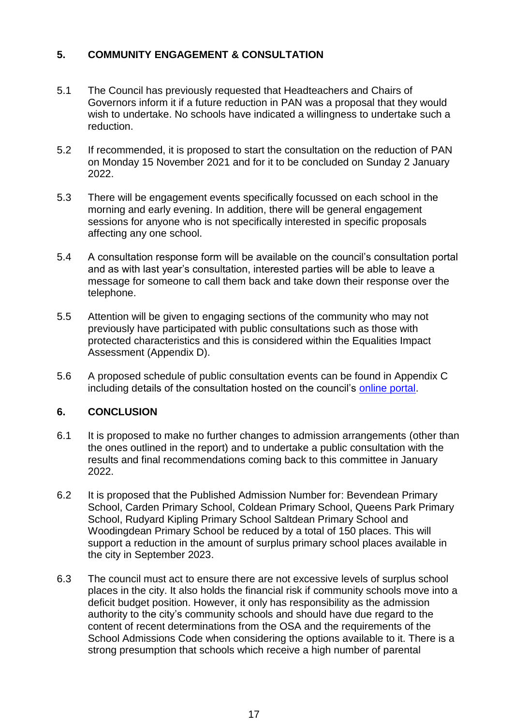# **5. COMMUNITY ENGAGEMENT & CONSULTATION**

- 5.1 The Council has previously requested that Headteachers and Chairs of Governors inform it if a future reduction in PAN was a proposal that they would wish to undertake. No schools have indicated a willingness to undertake such a reduction.
- 5.2 If recommended, it is proposed to start the consultation on the reduction of PAN on Monday 15 November 2021 and for it to be concluded on Sunday 2 January 2022.
- 5.3 There will be engagement events specifically focussed on each school in the morning and early evening. In addition, there will be general engagement sessions for anyone who is not specifically interested in specific proposals affecting any one school.
- 5.4 A consultation response form will be available on the council's consultation portal and as with last year's consultation, interested parties will be able to leave a message for someone to call them back and take down their response over the telephone.
- 5.5 Attention will be given to engaging sections of the community who may not previously have participated with public consultations such as those with protected characteristics and this is considered within the Equalities Impact Assessment (Appendix D).
- 5.6 A proposed schedule of public consultation events can be found in Appendix C including details of the consultation hosted on the council's [online portal.](https://consultations.brighton-hove.gov.uk/)

## **6. CONCLUSION**

- 6.1 It is proposed to make no further changes to admission arrangements (other than the ones outlined in the report) and to undertake a public consultation with the results and final recommendations coming back to this committee in January 2022.
- 6.2 It is proposed that the Published Admission Number for: Bevendean Primary School, Carden Primary School, Coldean Primary School, Queens Park Primary School, Rudyard Kipling Primary School Saltdean Primary School and Woodingdean Primary School be reduced by a total of 150 places. This will support a reduction in the amount of surplus primary school places available in the city in September 2023.
- 6.3 The council must act to ensure there are not excessive levels of surplus school places in the city. It also holds the financial risk if community schools move into a deficit budget position. However, it only has responsibility as the admission authority to the city's community schools and should have due regard to the content of recent determinations from the OSA and the requirements of the School Admissions Code when considering the options available to it. There is a strong presumption that schools which receive a high number of parental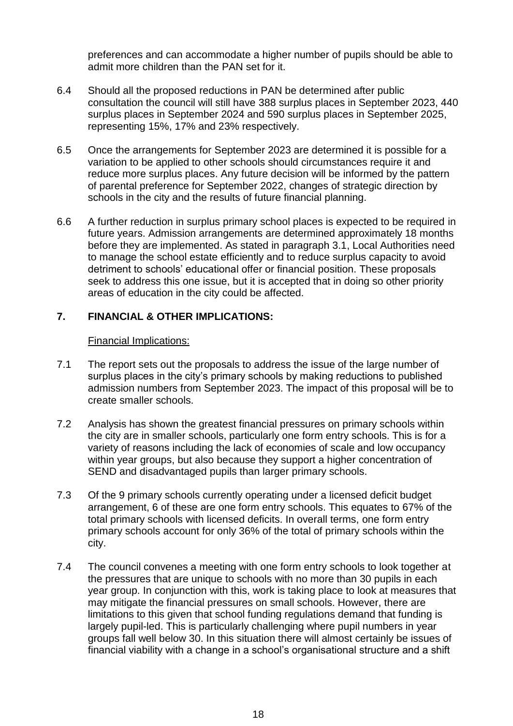preferences and can accommodate a higher number of pupils should be able to admit more children than the PAN set for it.

- 6.4 Should all the proposed reductions in PAN be determined after public consultation the council will still have 388 surplus places in September 2023, 440 surplus places in September 2024 and 590 surplus places in September 2025, representing 15%, 17% and 23% respectively.
- 6.5 Once the arrangements for September 2023 are determined it is possible for a variation to be applied to other schools should circumstances require it and reduce more surplus places. Any future decision will be informed by the pattern of parental preference for September 2022, changes of strategic direction by schools in the city and the results of future financial planning.
- 6.6 A further reduction in surplus primary school places is expected to be required in future years. Admission arrangements are determined approximately 18 months before they are implemented. As stated in paragraph 3.1, Local Authorities need to manage the school estate efficiently and to reduce surplus capacity to avoid detriment to schools' educational offer or financial position. These proposals seek to address this one issue, but it is accepted that in doing so other priority areas of education in the city could be affected.

## **7. FINANCIAL & OTHER IMPLICATIONS:**

#### Financial Implications:

- 7.1 The report sets out the proposals to address the issue of the large number of surplus places in the city's primary schools by making reductions to published admission numbers from September 2023. The impact of this proposal will be to create smaller schools.
- 7.2 Analysis has shown the greatest financial pressures on primary schools within the city are in smaller schools, particularly one form entry schools. This is for a variety of reasons including the lack of economies of scale and low occupancy within year groups, but also because they support a higher concentration of SEND and disadvantaged pupils than larger primary schools.
- 7.3 Of the 9 primary schools currently operating under a licensed deficit budget arrangement, 6 of these are one form entry schools. This equates to 67% of the total primary schools with licensed deficits. In overall terms, one form entry primary schools account for only 36% of the total of primary schools within the city.
- 7.4 The council convenes a meeting with one form entry schools to look together at the pressures that are unique to schools with no more than 30 pupils in each year group. In conjunction with this, work is taking place to look at measures that may mitigate the financial pressures on small schools. However, there are limitations to this given that school funding regulations demand that funding is largely pupil-led. This is particularly challenging where pupil numbers in year groups fall well below 30. In this situation there will almost certainly be issues of financial viability with a change in a school's organisational structure and a shift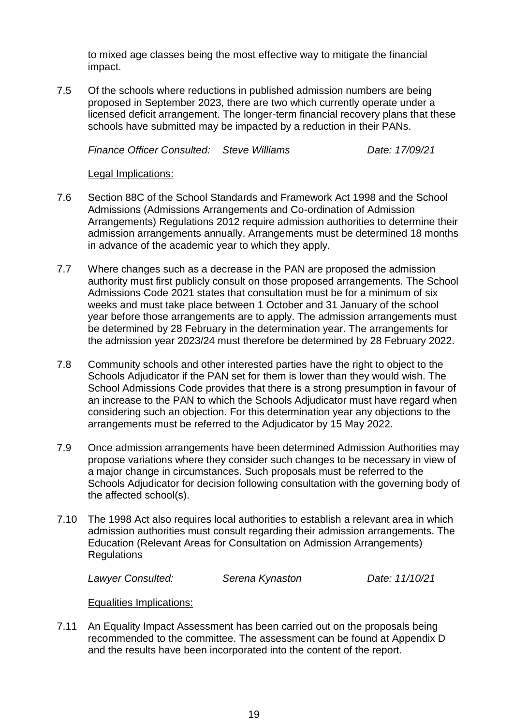to mixed age classes being the most effective way to mitigate the financial impact.

7.5 Of the schools where reductions in published admission numbers are being proposed in September 2023, there are two which currently operate under a licensed deficit arrangement. The longer-term financial recovery plans that these schools have submitted may be impacted by a reduction in their PANs.

*Finance Officer Consulted: Steve Williams Date: 17/09/21*

Legal Implications:

- 7.6 Section 88C of the School Standards and Framework Act 1998 and the School Admissions (Admissions Arrangements and Co-ordination of Admission Arrangements) Regulations 2012 require admission authorities to determine their admission arrangements annually. Arrangements must be determined 18 months in advance of the academic year to which they apply.
- 7.7 Where changes such as a decrease in the PAN are proposed the admission authority must first publicly consult on those proposed arrangements. The School Admissions Code 2021 states that consultation must be for a minimum of six weeks and must take place between 1 October and 31 January of the school year before those arrangements are to apply. The admission arrangements must be determined by 28 February in the determination year. The arrangements for the admission year 2023/24 must therefore be determined by 28 February 2022.
- 7.8 Community schools and other interested parties have the right to object to the Schools Adjudicator if the PAN set for them is lower than they would wish. The School Admissions Code provides that there is a strong presumption in favour of an increase to the PAN to which the Schools Adjudicator must have regard when considering such an objection. For this determination year any objections to the arrangements must be referred to the Adjudicator by 15 May 2022.
- 7.9 Once admission arrangements have been determined Admission Authorities may propose variations where they consider such changes to be necessary in view of a major change in circumstances. Such proposals must be referred to the Schools Adjudicator for decision following consultation with the governing body of the affected school(s).
- 7.10 The 1998 Act also requires local authorities to establish a relevant area in which admission authorities must consult regarding their admission arrangements. The Education (Relevant Areas for Consultation on Admission Arrangements) Regulations

*Lawyer Consulted: Serena Kynaston Date: 11/10/21*

Equalities Implications:

7.11 An Equality Impact Assessment has been carried out on the proposals being recommended to the committee. The assessment can be found at Appendix D and the results have been incorporated into the content of the report.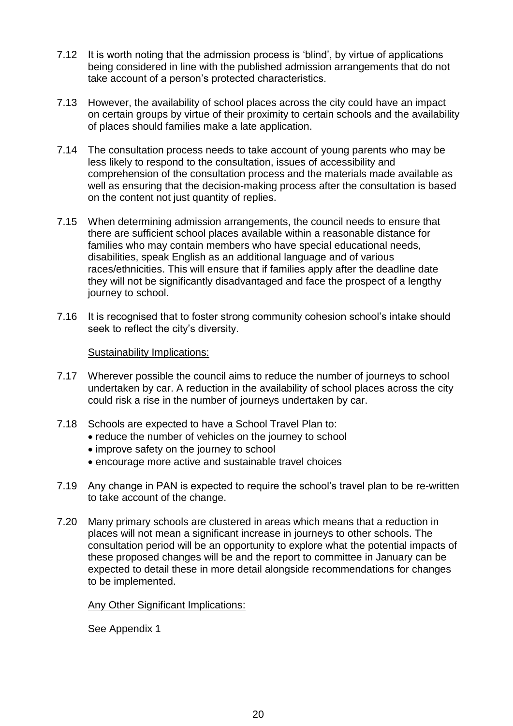- 7.12 It is worth noting that the admission process is 'blind', by virtue of applications being considered in line with the published admission arrangements that do not take account of a person's protected characteristics.
- 7.13 However, the availability of school places across the city could have an impact on certain groups by virtue of their proximity to certain schools and the availability of places should families make a late application.
- 7.14 The consultation process needs to take account of young parents who may be less likely to respond to the consultation, issues of accessibility and comprehension of the consultation process and the materials made available as well as ensuring that the decision-making process after the consultation is based on the content not just quantity of replies.
- 7.15 When determining admission arrangements, the council needs to ensure that there are sufficient school places available within a reasonable distance for families who may contain members who have special educational needs, disabilities, speak English as an additional language and of various races/ethnicities. This will ensure that if families apply after the deadline date they will not be significantly disadvantaged and face the prospect of a lengthy journey to school.
- 7.16 It is recognised that to foster strong community cohesion school's intake should seek to reflect the city's diversity.

## Sustainability Implications:

- 7.17 Wherever possible the council aims to reduce the number of journeys to school undertaken by car. A reduction in the availability of school places across the city could risk a rise in the number of journeys undertaken by car.
- 7.18 Schools are expected to have a School Travel Plan to:
	- reduce the number of vehicles on the journey to school
	- improve safety on the journey to school
	- encourage more active and sustainable travel choices
- 7.19 Any change in PAN is expected to require the school's travel plan to be re-written to take account of the change.
- 7.20 Many primary schools are clustered in areas which means that a reduction in places will not mean a significant increase in journeys to other schools. The consultation period will be an opportunity to explore what the potential impacts of these proposed changes will be and the report to committee in January can be expected to detail these in more detail alongside recommendations for changes to be implemented.

#### Any Other Significant Implications:

See Appendix 1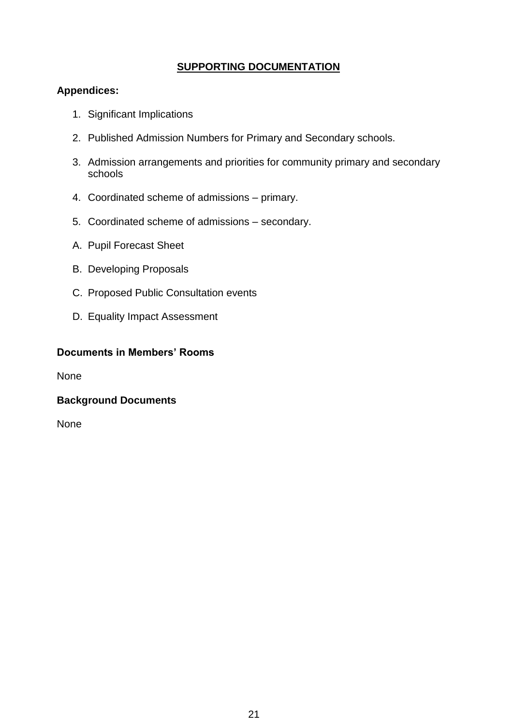## **SUPPORTING DOCUMENTATION**

## **Appendices:**

- 1. Significant Implications
- 2. Published Admission Numbers for Primary and Secondary schools.
- 3. Admission arrangements and priorities for community primary and secondary schools
- 4. Coordinated scheme of admissions primary.
- 5. Coordinated scheme of admissions secondary.
- A. Pupil Forecast Sheet
- B. Developing Proposals
- C. Proposed Public Consultation events
- D. Equality Impact Assessment

#### **Documents in Members' Rooms**

None

## **Background Documents**

None